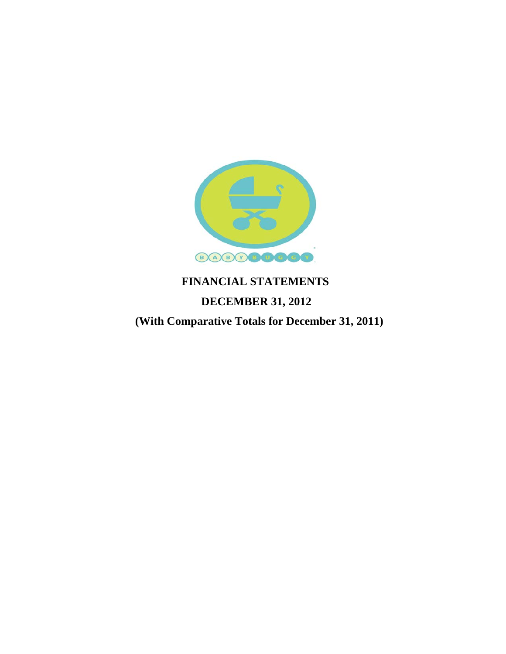

### **FINANCIAL STATEMENTS DECEMBER 31, 2012 (With Comparative Totals for December 31, 2011)**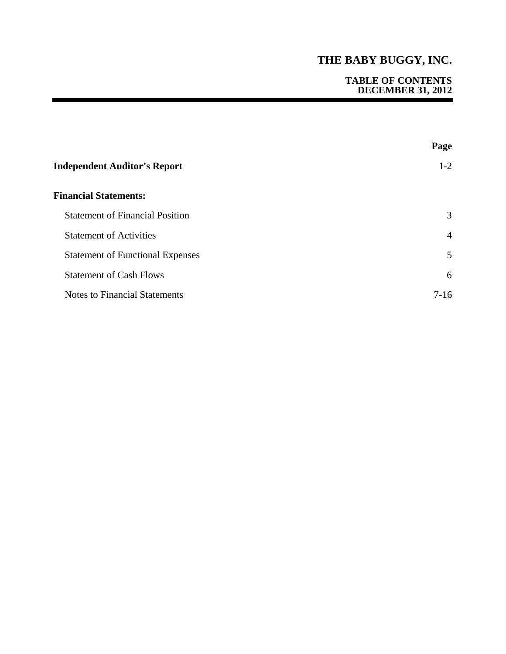#### **TABLE OF CONTENTS DECEMBER 31, 2012**

|                                         | Page           |
|-----------------------------------------|----------------|
| <b>Independent Auditor's Report</b>     | $1 - 2$        |
| <b>Financial Statements:</b>            |                |
| <b>Statement of Financial Position</b>  | 3              |
| <b>Statement of Activities</b>          | $\overline{4}$ |
| <b>Statement of Functional Expenses</b> | 5              |
| <b>Statement of Cash Flows</b>          | 6              |
| <b>Notes to Financial Statements</b>    | $7-16$         |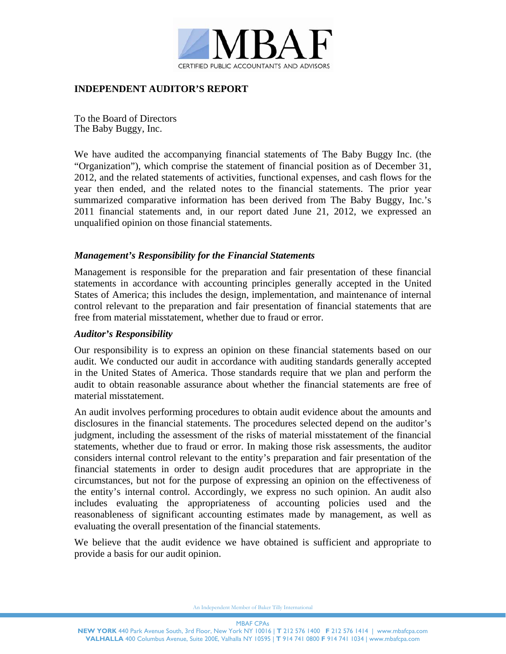

#### **INDEPENDENT AUDITOR'S REPORT**

To the Board of Directors The Baby Buggy, Inc.

We have audited the accompanying financial statements of The Baby Buggy Inc. (the "Organization"), which comprise the statement of financial position as of December 31, 2012, and the related statements of activities, functional expenses, and cash flows for the year then ended, and the related notes to the financial statements. The prior year summarized comparative information has been derived from The Baby Buggy, Inc.'s 2011 financial statements and, in our report dated June 21, 2012, we expressed an unqualified opinion on those financial statements.

#### *Management's Responsibility for the Financial Statements*

Management is responsible for the preparation and fair presentation of these financial statements in accordance with accounting principles generally accepted in the United States of America; this includes the design, implementation, and maintenance of internal control relevant to the preparation and fair presentation of financial statements that are free from material misstatement, whether due to fraud or error.

#### *Auditor's Responsibility*

Our responsibility is to express an opinion on these financial statements based on our audit. We conducted our audit in accordance with auditing standards generally accepted in the United States of America. Those standards require that we plan and perform the audit to obtain reasonable assurance about whether the financial statements are free of material misstatement.

An audit involves performing procedures to obtain audit evidence about the amounts and disclosures in the financial statements. The procedures selected depend on the auditor's judgment, including the assessment of the risks of material misstatement of the financial statements, whether due to fraud or error. In making those risk assessments, the auditor considers internal control relevant to the entity's preparation and fair presentation of the financial statements in order to design audit procedures that are appropriate in the circumstances, but not for the purpose of expressing an opinion on the effectiveness of the entity's internal control. Accordingly, we express no such opinion. An audit also includes evaluating the appropriateness of accounting policies used and the reasonableness of significant accounting estimates made by management, as well as evaluating the overall presentation of the financial statements.

We believe that the audit evidence we have obtained is sufficient and appropriate to provide a basis for our audit opinion.

An Independent Member of Baker Tilly International

MBAF CPAs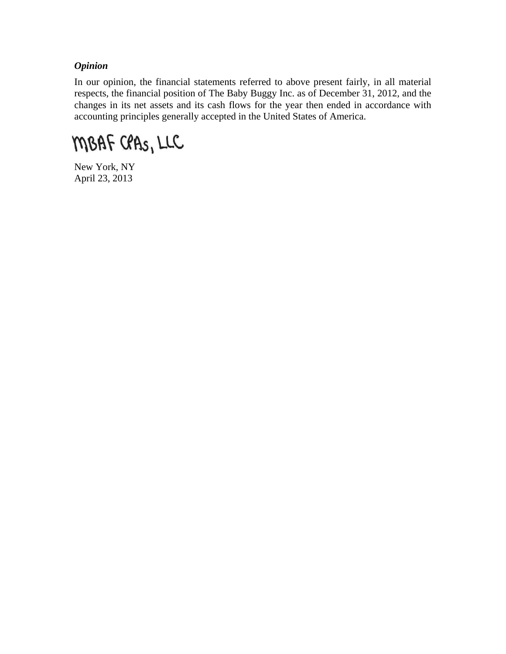### *Opinion*

In our opinion, the financial statements referred to above present fairly, in all material respects, the financial position of The Baby Buggy Inc. as of December 31, 2012, and the changes in its net assets and its cash flows for the year then ended in accordance with accounting principles generally accepted in the United States of America.

MBAF CPAS, LLC

New York, NY April 23, 2013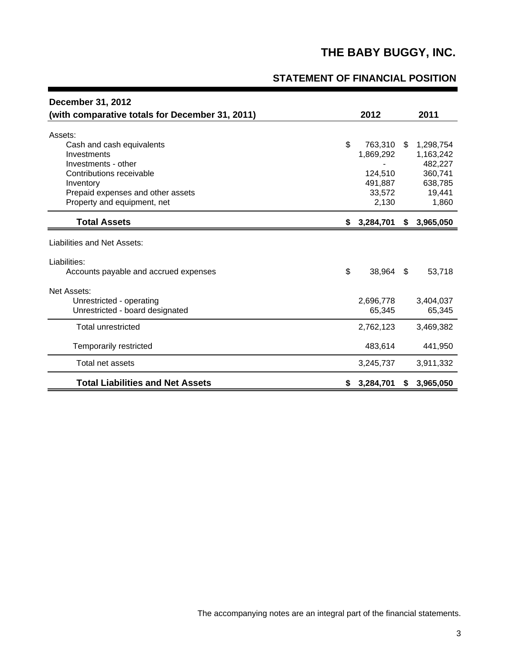### **STATEMENT OF FINANCIAL POSITION**

| <b>December 31, 2012</b>                        |    |           |     |           |
|-------------------------------------------------|----|-----------|-----|-----------|
| (with comparative totals for December 31, 2011) |    | 2012      |     | 2011      |
|                                                 |    |           |     |           |
| Assets:                                         |    |           |     |           |
| Cash and cash equivalents                       | \$ | 763,310   | \$. | 1,298,754 |
| Investments                                     |    | 1,869,292 |     | 1,163,242 |
| Investments - other                             |    |           |     | 482,227   |
| Contributions receivable                        |    | 124,510   |     | 360,741   |
| Inventory                                       |    | 491,887   |     | 638,785   |
| Prepaid expenses and other assets               |    | 33,572    |     | 19,441    |
| Property and equipment, net                     |    | 2,130     |     | 1,860     |
| <b>Total Assets</b>                             | S  | 3,284,701 | \$  | 3,965,050 |
| Liabilities and Net Assets:                     |    |           |     |           |
| Liabilities:                                    |    |           |     |           |
| Accounts payable and accrued expenses           | \$ | 38,964 \$ |     | 53,718    |
| Net Assets:                                     |    |           |     |           |
| Unrestricted - operating                        |    | 2,696,778 |     | 3,404,037 |
| Unrestricted - board designated                 |    | 65,345    |     | 65,345    |
| <b>Total unrestricted</b>                       |    | 2,762,123 |     | 3,469,382 |
| Temporarily restricted                          |    | 483,614   |     | 441,950   |
| Total net assets                                |    | 3,245,737 |     | 3,911,332 |
| <b>Total Liabilities and Net Assets</b>         | \$ | 3,284,701 | S   | 3,965,050 |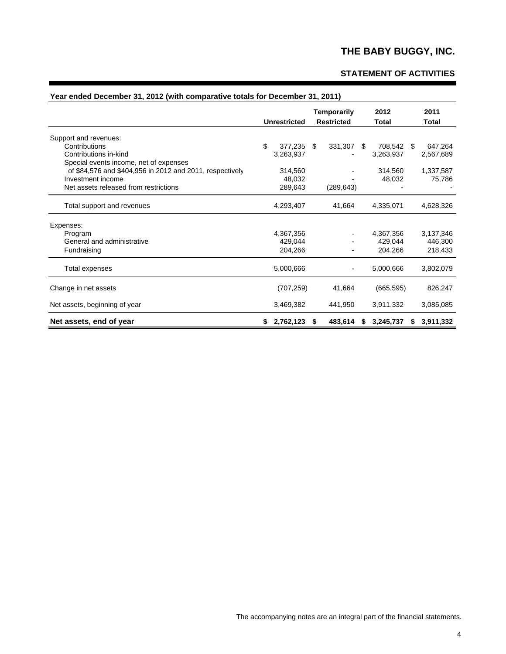#### **STATEMENT OF ACTIVITIES**

|                                                          |                     |     | <b>Temporarily</b> |     | 2012         |   | 2011         |
|----------------------------------------------------------|---------------------|-----|--------------------|-----|--------------|---|--------------|
|                                                          | <b>Unrestricted</b> |     | <b>Restricted</b>  |     | <b>Total</b> |   | <b>Total</b> |
| Support and revenues:                                    |                     |     |                    |     |              |   |              |
| Contributions                                            | \$<br>377,235       | -\$ | 331,307            | -\$ | 708,542 \$   |   | 647,264      |
| Contributions in-kind                                    | 3,263,937           |     |                    |     | 3,263,937    |   | 2,567,689    |
| Special events income, net of expenses                   |                     |     |                    |     |              |   |              |
| of \$84,576 and \$404,956 in 2012 and 2011, respectively | 314,560             |     |                    |     | 314,560      |   | 1,337,587    |
| Investment income                                        | 48.032              |     |                    |     | 48,032       |   | 75,786       |
| Net assets released from restrictions                    | 289,643             |     | (289, 643)         |     |              |   |              |
| Total support and revenues                               | 4,293,407           |     | 41,664             |     | 4,335,071    |   | 4,628,326    |
| Expenses:                                                |                     |     |                    |     |              |   |              |
| Program                                                  | 4,367,356           |     |                    |     | 4,367,356    |   | 3,137,346    |
| General and administrative                               | 429,044             |     |                    |     | 429,044      |   | 446,300      |
| Fundraising                                              | 204,266             |     |                    |     | 204,266      |   | 218,433      |
| Total expenses                                           | 5,000,666           |     |                    |     | 5,000,666    |   | 3,802,079    |
| Change in net assets                                     | (707, 259)          |     | 41,664             |     | (665, 595)   |   | 826,247      |
| Net assets, beginning of year                            | 3,469,382           |     | 441,950            |     | 3,911,332    |   | 3,085,085    |
| Net assets, end of year                                  | \$<br>2,762,123     | S   | 483,614            | S   | 3,245,737    | S | 3,911,332    |

#### The accompanying notes are an integral part of the financial statements.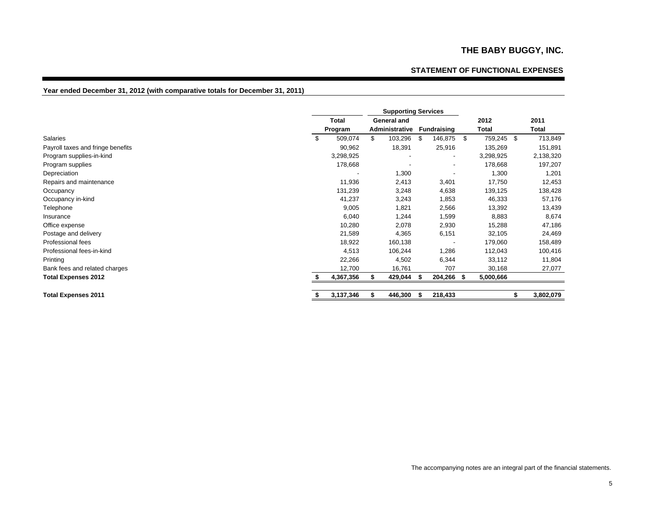#### **STATEMENT OF FUNCTIONAL EXPENSES**

#### **Year ended December 31, 2012 (with comparative totals for December 31, 2011)**

|                                   | <b>Supporting Services</b> |           |    |                |     |                    |    |           |    |           |
|-----------------------------------|----------------------------|-----------|----|----------------|-----|--------------------|----|-----------|----|-----------|
|                                   |                            | Total     |    | General and    |     |                    |    | 2012      |    | 2011      |
|                                   |                            | Program   |    | Administrative |     | <b>Fundraising</b> |    | Total     |    | Total     |
| <b>Salaries</b>                   | \$                         | 509,074   | \$ | 103,296        | \$. | 146,875            | \$ | 759,245   | \$ | 713,849   |
| Payroll taxes and fringe benefits |                            | 90,962    |    | 18,391         |     | 25,916             |    | 135,269   |    | 151,891   |
| Program supplies-in-kind          |                            | 3,298,925 |    |                |     |                    |    | 3,298,925 |    | 2,138,320 |
| Program supplies                  |                            | 178,668   |    |                |     |                    |    | 178,668   |    | 197,207   |
| Depreciation                      |                            |           |    | 1,300          |     |                    |    | 1,300     |    | 1,201     |
| Repairs and maintenance           |                            | 11,936    |    | 2,413          |     | 3,401              |    | 17,750    |    | 12,453    |
| Occupancy                         |                            | 131,239   |    | 3,248          |     | 4,638              |    | 139,125   |    | 138,428   |
| Occupancy in-kind                 |                            | 41,237    |    | 3,243          |     | 1,853              |    | 46,333    |    | 57,176    |
| Telephone                         |                            | 9,005     |    | 1,821          |     | 2,566              |    | 13,392    |    | 13,439    |
| Insurance                         |                            | 6,040     |    | 1,244          |     | 1,599              |    | 8,883     |    | 8,674     |
| Office expense                    |                            | 10,280    |    | 2,078          |     | 2,930              |    | 15,288    |    | 47,186    |
| Postage and delivery              |                            | 21,589    |    | 4,365          |     | 6,151              |    | 32,105    |    | 24,469    |
| Professional fees                 |                            | 18,922    |    | 160,138        |     |                    |    | 179,060   |    | 158,489   |
| Professional fees-in-kind         |                            | 4,513     |    | 106,244        |     | 1,286              |    | 112,043   |    | 100,416   |
| Printing                          |                            | 22,266    |    | 4,502          |     | 6,344              |    | 33,112    |    | 11,804    |
| Bank fees and related charges     |                            | 12,700    |    | 16,761         |     | 707                |    | 30,168    |    | 27,077    |
| <b>Total Expenses 2012</b>        |                            | 4,367,356 |    | 429,044        |     | 204,266            | 55 | 5,000,666 |    |           |
| <b>Total Expenses 2011</b>        |                            | 3,137,346 |    | 446,300        |     | 218,433            |    |           | S  | 3,802,079 |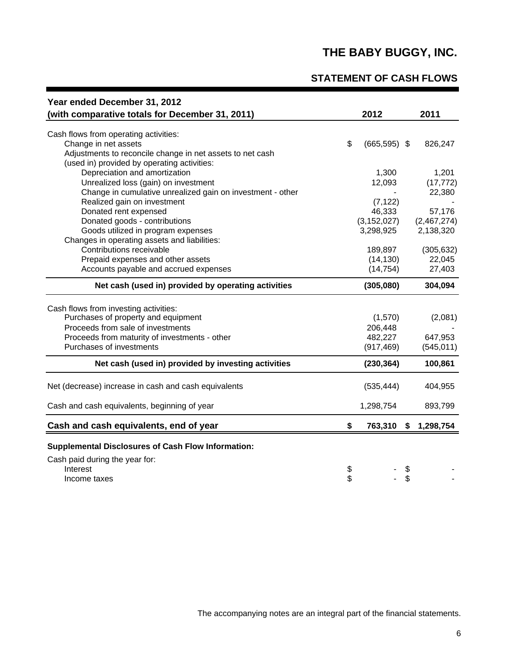### **STATEMENT OF CASH FLOWS**

| Year ended December 31, 2012                               |                       |                 |
|------------------------------------------------------------|-----------------------|-----------------|
| (with comparative totals for December 31, 2011)            | 2012                  | 2011            |
|                                                            |                       |                 |
| Cash flows from operating activities:                      |                       |                 |
| Change in net assets                                       | \$<br>$(665, 595)$ \$ | 826,247         |
| Adjustments to reconcile change in net assets to net cash  |                       |                 |
| (used in) provided by operating activities:                |                       |                 |
| Depreciation and amortization                              | 1,300                 | 1,201           |
| Unrealized loss (gain) on investment                       | 12,093                | (17, 772)       |
| Change in cumulative unrealized gain on investment - other |                       | 22,380          |
| Realized gain on investment                                | (7, 122)              |                 |
| Donated rent expensed                                      | 46,333                | 57,176          |
| Donated goods - contributions                              | (3, 152, 027)         | (2,467,274)     |
| Goods utilized in program expenses                         | 3,298,925             | 2,138,320       |
| Changes in operating assets and liabilities:               |                       |                 |
| Contributions receivable                                   | 189,897               | (305, 632)      |
| Prepaid expenses and other assets                          | (14, 130)             | 22,045          |
| Accounts payable and accrued expenses                      | (14, 754)             | 27,403          |
| Net cash (used in) provided by operating activities        | (305,080)             | 304,094         |
|                                                            |                       |                 |
| Cash flows from investing activities:                      |                       |                 |
| Purchases of property and equipment                        | (1,570)               | (2,081)         |
| Proceeds from sale of investments                          | 206,448               |                 |
| Proceeds from maturity of investments - other              | 482,227               | 647,953         |
| Purchases of investments                                   | (917, 469)            | (545, 011)      |
| Net cash (used in) provided by investing activities        | (230, 364)            | 100,861         |
| Net (decrease) increase in cash and cash equivalents       | (535, 444)            | 404,955         |
| Cash and cash equivalents, beginning of year               | 1,298,754             | 893,799         |
| Cash and cash equivalents, end of year                     | \$<br>763,310         | \$<br>1,298,754 |
|                                                            |                       |                 |
| <b>Supplemental Disclosures of Cash Flow Information:</b>  |                       |                 |
| Cash paid during the year for:                             |                       |                 |
| Interest                                                   | \$                    | \$              |
| Income taxes                                               | \$                    | \$              |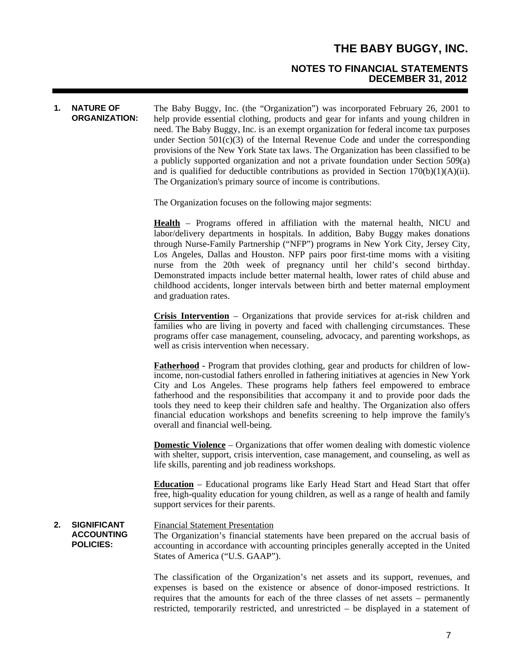## **DECEMBER 31, 2012**

**1. NATURE OF ORGANIZATION:**  The Baby Buggy, Inc. (the "Organization") was incorporated February 26, 2001 to help provide essential clothing, products and gear for infants and young children in need. The Baby Buggy, Inc. is an exempt organization for federal income tax purposes under Section  $501(c)(3)$  of the Internal Revenue Code and under the corresponding provisions of the New York State tax laws. The Organization has been classified to be a publicly supported organization and not a private foundation under Section 509(a) and is qualified for deductible contributions as provided in Section  $170(b)(1)(A)(ii)$ . The Organization's primary source of income is contributions.

The Organization focuses on the following major segments:

**Health** – Programs offered in affiliation with the maternal health, NICU and labor/delivery departments in hospitals. In addition, Baby Buggy makes donations through Nurse-Family Partnership ("NFP") programs in New York City, Jersey City, Los Angeles, Dallas and Houston. NFP pairs poor first-time moms with a visiting nurse from the 20th week of pregnancy until her child's second birthday. Demonstrated impacts include better maternal health, lower rates of child abuse and childhood accidents, longer intervals between birth and better maternal employment and graduation rates.

**Crisis Intervention** – Organizations that provide services for at-risk children and families who are living in poverty and faced with challenging circumstances. These programs offer case management, counseling, advocacy, and parenting workshops, as well as crisis intervention when necessary.

**Fatherhood -** Program that provides clothing, gear and products for children of lowincome, non-custodial fathers enrolled in fathering initiatives at agencies in New York City and Los Angeles. These programs help fathers feel empowered to embrace fatherhood and the responsibilities that accompany it and to provide poor dads the tools they need to keep their children safe and healthy. The Organization also offers financial education workshops and benefits screening to help improve the family's overall and financial well-being.

**Domestic Violence** – Organizations that offer women dealing with domestic violence with shelter, support, crisis intervention, case management, and counseling, as well as life skills, parenting and job readiness workshops.

**Education** – Educational programs like Early Head Start and Head Start that offer free, high-quality education for young children, as well as a range of health and family support services for their parents.

#### **2. SIGNIFICANT ACCOUNTING POLICIES:**  Financial Statement Presentation The Organization's financial statements have been prepared on the accrual basis of accounting in accordance with accounting principles generally accepted in the United States of America ("U.S. GAAP").

The classification of the Organization's net assets and its support, revenues, and expenses is based on the existence or absence of donor-imposed restrictions. It requires that the amounts for each of the three classes of net assets – permanently restricted, temporarily restricted, and unrestricted – be displayed in a statement of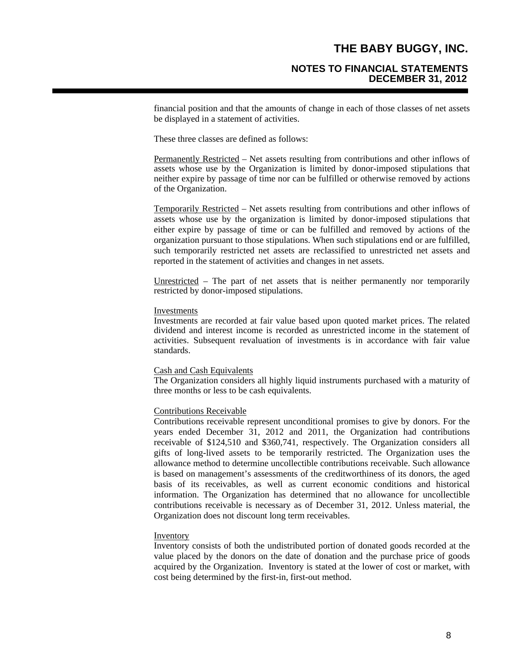## **DECEMBER 31, 2012**

financial position and that the amounts of change in each of those classes of net assets be displayed in a statement of activities.

These three classes are defined as follows:

Permanently Restricted – Net assets resulting from contributions and other inflows of assets whose use by the Organization is limited by donor-imposed stipulations that neither expire by passage of time nor can be fulfilled or otherwise removed by actions of the Organization.

Temporarily Restricted – Net assets resulting from contributions and other inflows of assets whose use by the organization is limited by donor-imposed stipulations that either expire by passage of time or can be fulfilled and removed by actions of the organization pursuant to those stipulations. When such stipulations end or are fulfilled, such temporarily restricted net assets are reclassified to unrestricted net assets and reported in the statement of activities and changes in net assets.

Unrestricted – The part of net assets that is neither permanently nor temporarily restricted by donor-imposed stipulations.

#### Investments

Investments are recorded at fair value based upon quoted market prices. The related dividend and interest income is recorded as unrestricted income in the statement of activities. Subsequent revaluation of investments is in accordance with fair value standards.

#### Cash and Cash Equivalents

The Organization considers all highly liquid instruments purchased with a maturity of three months or less to be cash equivalents.

#### Contributions Receivable

Contributions receivable represent unconditional promises to give by donors. For the years ended December 31, 2012 and 2011, the Organization had contributions receivable of \$124,510 and \$360,741, respectively. The Organization considers all gifts of long-lived assets to be temporarily restricted. The Organization uses the allowance method to determine uncollectible contributions receivable. Such allowance is based on management's assessments of the creditworthiness of its donors, the aged basis of its receivables, as well as current economic conditions and historical information. The Organization has determined that no allowance for uncollectible contributions receivable is necessary as of December 31, 2012. Unless material, the Organization does not discount long term receivables.

#### Inventory

Inventory consists of both the undistributed portion of donated goods recorded at the value placed by the donors on the date of donation and the purchase price of goods acquired by the Organization. Inventory is stated at the lower of cost or market, with cost being determined by the first-in, first-out method.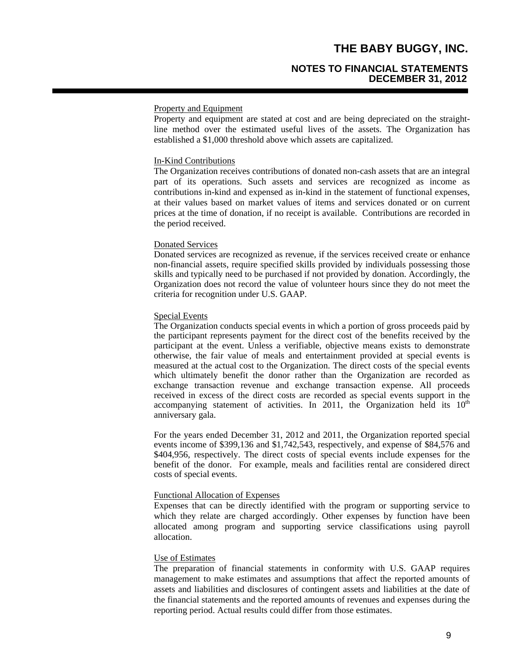## **DECEMBER 31, 2012**

#### Property and Equipment

Property and equipment are stated at cost and are being depreciated on the straightline method over the estimated useful lives of the assets. The Organization has established a \$1,000 threshold above which assets are capitalized.

#### In-Kind Contributions

The Organization receives contributions of donated non-cash assets that are an integral part of its operations. Such assets and services are recognized as income as contributions in-kind and expensed as in-kind in the statement of functional expenses, at their values based on market values of items and services donated or on current prices at the time of donation, if no receipt is available. Contributions are recorded in the period received.

#### Donated Services

Donated services are recognized as revenue, if the services received create or enhance non-financial assets, require specified skills provided by individuals possessing those skills and typically need to be purchased if not provided by donation. Accordingly, the Organization does not record the value of volunteer hours since they do not meet the criteria for recognition under U.S. GAAP.

#### Special Events

The Organization conducts special events in which a portion of gross proceeds paid by the participant represents payment for the direct cost of the benefits received by the participant at the event. Unless a verifiable, objective means exists to demonstrate otherwise, the fair value of meals and entertainment provided at special events is measured at the actual cost to the Organization. The direct costs of the special events which ultimately benefit the donor rather than the Organization are recorded as exchange transaction revenue and exchange transaction expense. All proceeds received in excess of the direct costs are recorded as special events support in the accompanying statement of activities. In 2011, the Organization held its  $10<sup>th</sup>$ anniversary gala.

For the years ended December 31, 2012 and 2011, the Organization reported special events income of \$399,136 and \$1,742,543, respectively, and expense of \$84,576 and \$404,956, respectively. The direct costs of special events include expenses for the benefit of the donor. For example, meals and facilities rental are considered direct costs of special events.

#### Functional Allocation of Expenses

Expenses that can be directly identified with the program or supporting service to which they relate are charged accordingly. Other expenses by function have been allocated among program and supporting service classifications using payroll allocation.

#### Use of Estimates

The preparation of financial statements in conformity with U.S. GAAP requires management to make estimates and assumptions that affect the reported amounts of assets and liabilities and disclosures of contingent assets and liabilities at the date of the financial statements and the reported amounts of revenues and expenses during the reporting period. Actual results could differ from those estimates.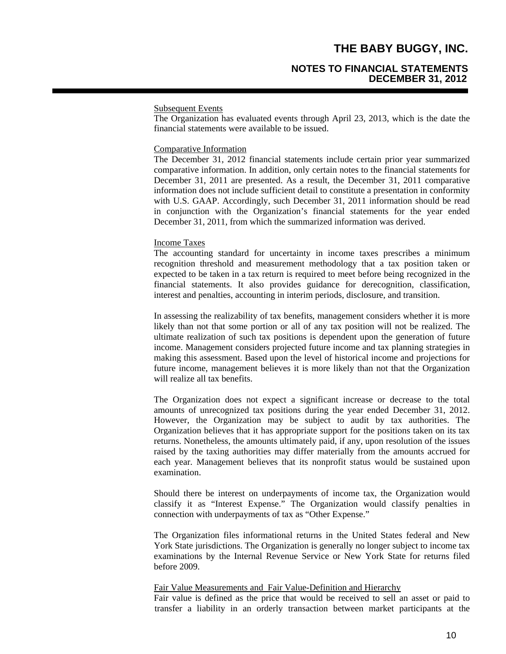## **DECEMBER 31, 2012**

#### Subsequent Events

The Organization has evaluated events through April 23, 2013, which is the date the financial statements were available to be issued.

#### Comparative Information

The December 31, 2012 financial statements include certain prior year summarized comparative information. In addition, only certain notes to the financial statements for December 31, 2011 are presented. As a result, the December 31, 2011 comparative information does not include sufficient detail to constitute a presentation in conformity with U.S. GAAP. Accordingly, such December 31, 2011 information should be read in conjunction with the Organization's financial statements for the year ended December 31, 2011, from which the summarized information was derived.

#### Income Taxes

The accounting standard for uncertainty in income taxes prescribes a minimum recognition threshold and measurement methodology that a tax position taken or expected to be taken in a tax return is required to meet before being recognized in the financial statements. It also provides guidance for derecognition, classification, interest and penalties, accounting in interim periods, disclosure, and transition.

In assessing the realizability of tax benefits, management considers whether it is more likely than not that some portion or all of any tax position will not be realized. The ultimate realization of such tax positions is dependent upon the generation of future income. Management considers projected future income and tax planning strategies in making this assessment. Based upon the level of historical income and projections for future income, management believes it is more likely than not that the Organization will realize all tax benefits.

The Organization does not expect a significant increase or decrease to the total amounts of unrecognized tax positions during the year ended December 31, 2012. However, the Organization may be subject to audit by tax authorities. The Organization believes that it has appropriate support for the positions taken on its tax returns. Nonetheless, the amounts ultimately paid, if any, upon resolution of the issues raised by the taxing authorities may differ materially from the amounts accrued for each year. Management believes that its nonprofit status would be sustained upon examination.

Should there be interest on underpayments of income tax, the Organization would classify it as "Interest Expense." The Organization would classify penalties in connection with underpayments of tax as "Other Expense."

The Organization files informational returns in the United States federal and New York State jurisdictions. The Organization is generally no longer subject to income tax examinations by the Internal Revenue Service or New York State for returns filed before 2009.

#### Fair Value Measurements and Fair Value-Definition and Hierarchy

Fair value is defined as the price that would be received to sell an asset or paid to transfer a liability in an orderly transaction between market participants at the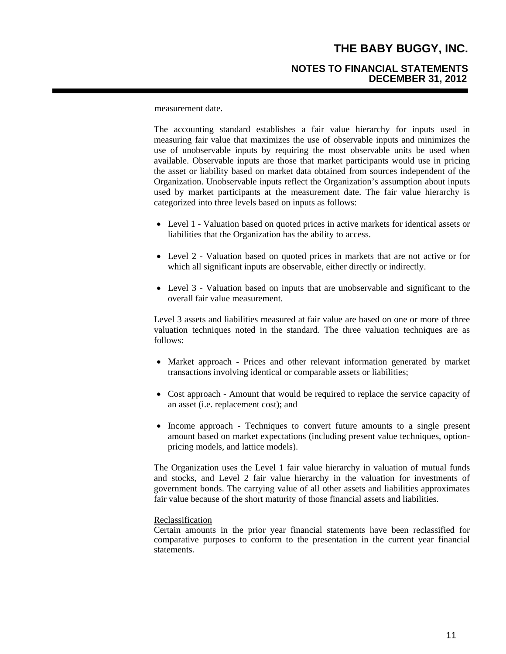## **DECEMBER 31, 2012**

measurement date.

The accounting standard establishes a fair value hierarchy for inputs used in measuring fair value that maximizes the use of observable inputs and minimizes the use of unobservable inputs by requiring the most observable units be used when available. Observable inputs are those that market participants would use in pricing the asset or liability based on market data obtained from sources independent of the Organization. Unobservable inputs reflect the Organization's assumption about inputs used by market participants at the measurement date. The fair value hierarchy is categorized into three levels based on inputs as follows:

- Level 1 Valuation based on quoted prices in active markets for identical assets or liabilities that the Organization has the ability to access.
- Level 2 Valuation based on quoted prices in markets that are not active or for which all significant inputs are observable, either directly or indirectly.
- Level 3 Valuation based on inputs that are unobservable and significant to the overall fair value measurement.

Level 3 assets and liabilities measured at fair value are based on one or more of three valuation techniques noted in the standard. The three valuation techniques are as follows:

- Market approach Prices and other relevant information generated by market transactions involving identical or comparable assets or liabilities;
- Cost approach Amount that would be required to replace the service capacity of an asset (i.e. replacement cost); and
- Income approach Techniques to convert future amounts to a single present amount based on market expectations (including present value techniques, optionpricing models, and lattice models).

The Organization uses the Level 1 fair value hierarchy in valuation of mutual funds and stocks, and Level 2 fair value hierarchy in the valuation for investments of government bonds. The carrying value of all other assets and liabilities approximates fair value because of the short maturity of those financial assets and liabilities.

#### Reclassification

Certain amounts in the prior year financial statements have been reclassified for comparative purposes to conform to the presentation in the current year financial statements.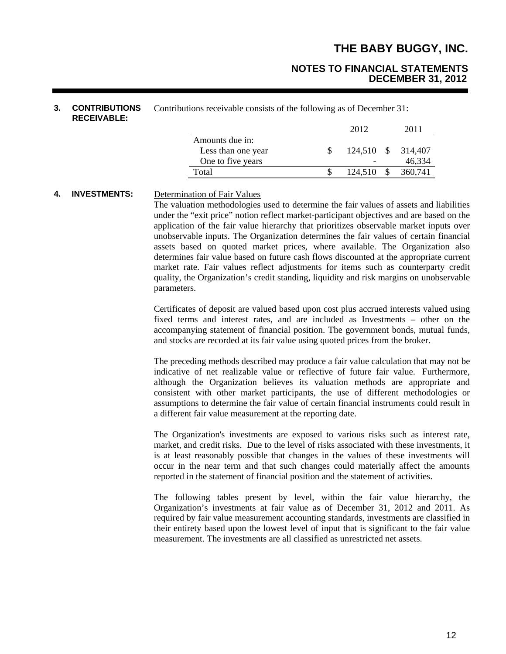## **DECEMBER 31, 2012**

#### **3. CONTRIBUTIONS RECEIVABLE:**  Contributions receivable consists of the following as of December 31:

|                    | 2012       | 2011    |
|--------------------|------------|---------|
| Amounts due in:    |            |         |
| Less than one year | 124.510 \$ | 314.407 |
| One to five years  |            | 46,334  |
| Total              | 124,510    | 360,741 |

#### **4. INVESTMENTS:** Determination of Fair Values

The valuation methodologies used to determine the fair values of assets and liabilities under the "exit price" notion reflect market-participant objectives and are based on the application of the fair value hierarchy that prioritizes observable market inputs over unobservable inputs. The Organization determines the fair values of certain financial assets based on quoted market prices, where available. The Organization also determines fair value based on future cash flows discounted at the appropriate current market rate. Fair values reflect adjustments for items such as counterparty credit quality, the Organization's credit standing, liquidity and risk margins on unobservable parameters.

Certificates of deposit are valued based upon cost plus accrued interests valued using fixed terms and interest rates, and are included as Investments – other on the accompanying statement of financial position. The government bonds, mutual funds, and stocks are recorded at its fair value using quoted prices from the broker.

The preceding methods described may produce a fair value calculation that may not be indicative of net realizable value or reflective of future fair value. Furthermore, although the Organization believes its valuation methods are appropriate and consistent with other market participants, the use of different methodologies or assumptions to determine the fair value of certain financial instruments could result in a different fair value measurement at the reporting date.

The Organization's investments are exposed to various risks such as interest rate, market, and credit risks. Due to the level of risks associated with these investments, it is at least reasonably possible that changes in the values of these investments will occur in the near term and that such changes could materially affect the amounts reported in the statement of financial position and the statement of activities.

The following tables present by level, within the fair value hierarchy, the Organization's investments at fair value as of December 31, 2012 and 2011. As required by fair value measurement accounting standards, investments are classified in their entirety based upon the lowest level of input that is significant to the fair value measurement. The investments are all classified as unrestricted net assets.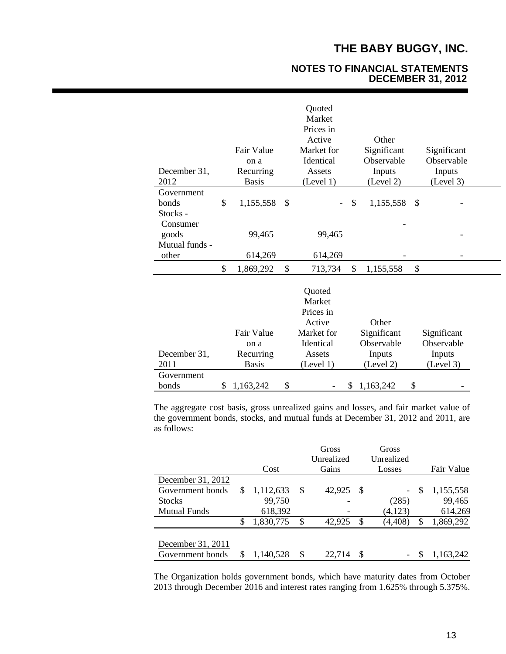## **DECEMBER 31, 2012**

| December 31,<br>2012                        |     | <b>Fair Value</b><br>on a<br>Recurring<br><b>Basis</b> | Quoted<br>Market<br>Prices in<br>Active<br>Market for<br>Identical<br>Assets<br>(Level 1) | Other<br>Significant<br>Observable<br>Inputs<br>(Level 2) | Significant<br>Observable<br>Inputs<br>(Level 3) |  |
|---------------------------------------------|-----|--------------------------------------------------------|-------------------------------------------------------------------------------------------|-----------------------------------------------------------|--------------------------------------------------|--|
| Government<br>bonds<br>Stocks -<br>Consumer | \$  | 1,155,558                                              | \$                                                                                        | \$<br>1,155,558                                           | \$                                               |  |
| goods                                       |     | 99,465                                                 | 99,465                                                                                    |                                                           |                                                  |  |
| Mutual funds -<br>other                     |     | 614,269                                                | 614,269                                                                                   |                                                           |                                                  |  |
|                                             | \$  | 1,869,292                                              | \$<br>713,734                                                                             | \$<br>1,155,558                                           | \$                                               |  |
|                                             |     | Fair Value<br>on a                                     | Quoted<br>Market<br>Prices in<br>Active<br>Market for<br>Identical                        | Other<br>Significant<br>Observable                        | Significant<br>Observable                        |  |
| December 31,                                |     | Recurring                                              | Assets                                                                                    | Inputs                                                    | Inputs                                           |  |
| 2011                                        |     | <b>Basis</b>                                           | (Level 1)                                                                                 | (Level 2)                                                 | (Level 3)                                        |  |
| Government<br>bonds                         | \$. | 1,163,242                                              | \$                                                                                        | \$<br>1,163,242                                           | \$                                               |  |

The aggregate cost basis, gross unrealized gains and losses, and fair market value of the government bonds, stocks, and mutual funds at December 31, 2012 and 2011, are as follows:

|                     |   |           |    | Gross      |    | Gross      |   |            |
|---------------------|---|-----------|----|------------|----|------------|---|------------|
|                     |   |           |    | Unrealized |    | Unrealized |   |            |
|                     |   | Cost      |    | Gains      |    | Losses     |   | Fair Value |
| December 31, 2012   |   |           |    |            |    |            |   |            |
| Government bonds    | S | 1,112,633 | S  | 42,925     | \$ |            | S | 1,155,558  |
| <b>Stocks</b>       |   | 99,750    |    |            |    | (285)      |   | 99,465     |
| <b>Mutual Funds</b> |   | 618,392   |    |            |    | (4,123)    |   | 614,269    |
|                     |   | 1,830,775 | \$ | 42,925     | S  | (4,408)    | S | 1,869,292  |
|                     |   |           |    |            |    |            |   |            |
| December 31, 2011   |   |           |    |            |    |            |   |            |
| Government bonds    |   | 1,140,528 |    | 22,714     |    |            |   | 1,163,242  |

The Organization holds government bonds, which have maturity dates from October 2013 through December 2016 and interest rates ranging from 1.625% through 5.375%.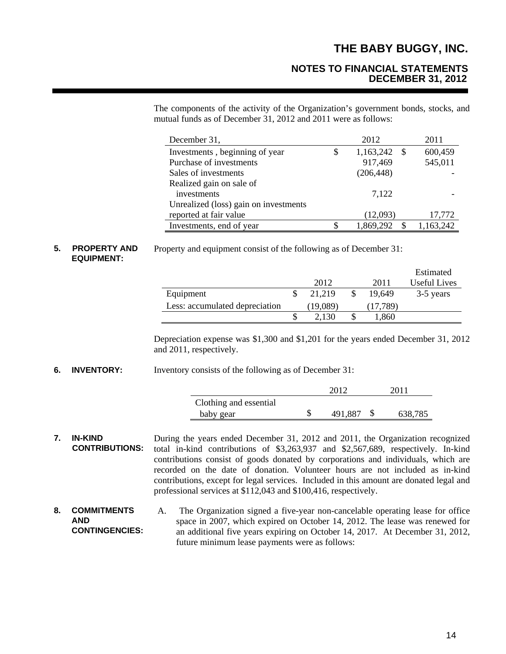## **DECEMBER 31, 2012**

The components of the activity of the Organization's government bonds, stocks, and mutual funds as of December 31, 2012 and 2011 were as follows:

| December 31,                          | 2012            | 2011      |
|---------------------------------------|-----------------|-----------|
| Investments, beginning of year        | \$<br>1,163,242 | 600,459   |
| Purchase of investments               | 917,469         | 545,011   |
| Sales of investments                  | (206, 448)      |           |
| Realized gain on sale of              |                 |           |
| investments                           | 7,122           |           |
| Unrealized (loss) gain on investments |                 |           |
| reported at fair value                | (12,093)        | 17,772    |
| Investments, end of year              | 1,869,292       | 1,163,242 |

#### **5. PROPERTY AND EQUIPMENT:**

Property and equipment consist of the following as of December 31:

|                                |          |          | Estimated    |
|--------------------------------|----------|----------|--------------|
|                                | 2012     | 2011     | Useful Lives |
| Equipment                      | 21.219   | 19.649   | 3-5 years    |
| Less: accumulated depreciation | (19.089) | (17.789) |              |
|                                | 2,130    | 1,860    |              |

Depreciation expense was \$1,300 and \$1,201 for the years ended December 31, 2012 and 2011, respectively.

#### **6. INVENTORY:** Inventory consists of the following as of December 31:

|                        | 2012    | 2011    |
|------------------------|---------|---------|
| Clothing and essential |         |         |
| baby gear              | 491,887 | 638,785 |

- **7. IN-KIND CONTRIBUTIONS:**  During the years ended December 31, 2012 and 2011, the Organization recognized total in-kind contributions of \$3,263,937 and \$2,567,689, respectively. In-kind contributions consist of goods donated by corporations and individuals, which are recorded on the date of donation. Volunteer hours are not included as in-kind contributions, except for legal services. Included in this amount are donated legal and professional services at \$112,043 and \$100,416, respectively.
- **8. COMMITMENTS AND CONTINGENCIES:**  A. The Organization signed a five-year non-cancelable operating lease for office space in 2007, which expired on October 14, 2012. The lease was renewed for an additional five years expiring on October 14, 2017. At December 31, 2012, future minimum lease payments were as follows: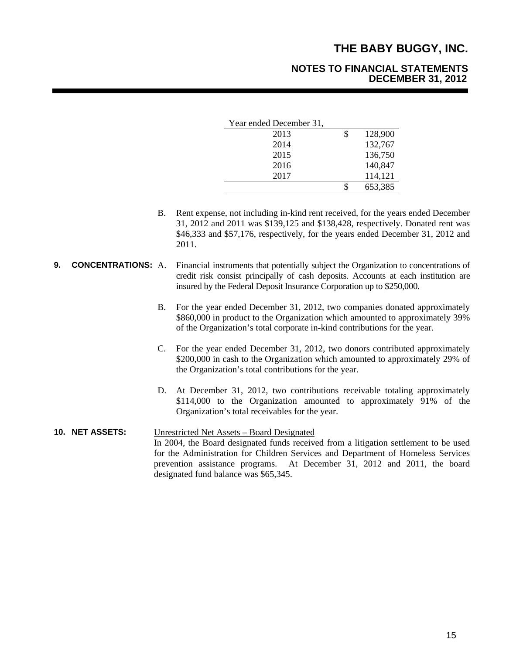## **DECEMBER 31, 2012**

| Year ended December 31, |   |         |
|-------------------------|---|---------|
| 2013                    | S | 128,900 |
| 2014                    |   | 132,767 |
| 2015                    |   | 136,750 |
| 2016                    |   | 140,847 |
| 2017                    |   | 114,121 |
|                         |   | 653,385 |

- B. Rent expense, not including in-kind rent received, for the years ended December 31, 2012 and 2011 was \$139,125 and \$138,428, respectively. Donated rent was \$46,333 and \$57,176, respectively, for the years ended December 31, 2012 and 2011.
- **9. CONCENTRATIONS:** A. Financial instruments that potentially subject the Organization to concentrations of credit risk consist principally of cash deposits. Accounts at each institution are insured by the Federal Deposit Insurance Corporation up to \$250,000.
	- B. For the year ended December 31, 2012, two companies donated approximately \$860,000 in product to the Organization which amounted to approximately 39% of the Organization's total corporate in-kind contributions for the year.
	- C. For the year ended December 31, 2012, two donors contributed approximately \$200,000 in cash to the Organization which amounted to approximately 29% of the Organization's total contributions for the year.
	- D. At December 31, 2012, two contributions receivable totaling approximately \$114,000 to the Organization amounted to approximately 91% of the Organization's total receivables for the year.

#### **10. NET ASSETS:** Unrestricted Net Assets – Board Designated In 2004, the Board designated funds received from a litigation settlement to be used for the Administration for Children Services and Department of Homeless Services prevention assistance programs. At December 31, 2012 and 2011, the board designated fund balance was \$65,345.